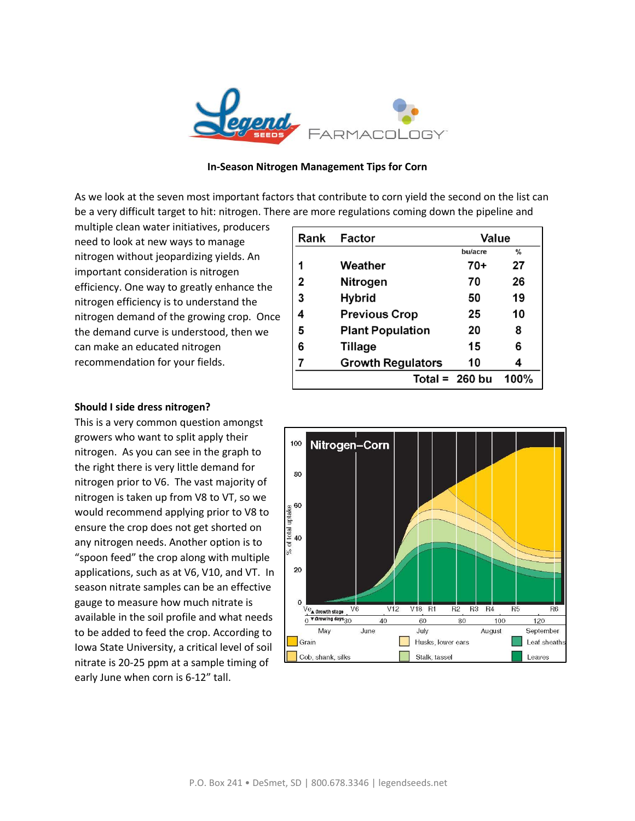

## **In-Season Nitrogen Management Tips for Corn**

As we look at the seven most important factors that contribute to corn yield the second on the list can be a very difficult target to hit: nitrogen. There are more regulations coming down the pipeline and

multiple clean water initiatives, producers need to look at new ways to manage nitrogen without jeopardizing yields. An important consideration is nitrogen efficiency. One way to greatly enhance the nitrogen efficiency is to understand the nitrogen demand of the growing crop. Once the demand curve is understood, then we can make an educated nitrogen recommendation for your fields.

| Rank | Factor                   | Value            |               |
|------|--------------------------|------------------|---------------|
|      |                          | bu/acre          | $\frac{0}{0}$ |
| 1    | Weather                  | 70+              | 27            |
| 2    | Nitrogen                 | 70               | 26            |
| 3    | <b>Hybrid</b>            | 50               | 19            |
| 4    | <b>Previous Crop</b>     | 25               | 10            |
| 5    | <b>Plant Population</b>  | 20               | 8             |
| 6    | <b>Tillage</b>           | 15               | 6             |
| 7    | <b>Growth Regulators</b> | 10               |               |
|      |                          | Total = $260$ bu | 100%          |
|      |                          |                  |               |

## **Should I side dress nitrogen?**

This is a very common question amongst growers who want to split apply their nitrogen. As you can see in the graph to the right there is very little demand for nitrogen prior to V6. The vast majority of nitrogen is taken up from V8 to VT, so we would recommend applying prior to V8 to ensure the crop does not get shorted on any nitrogen needs. Another option is to "spoon feed" the crop along with multiple applications, such as at V6, V10, and VT. In season nitrate samples can be an effective gauge to measure how much nitrate is available in the soil profile and what needs to be added to feed the crop. According to Iowa State University, a critical level of soil nitrate is 20-25 ppm at a sample timing of early June when corn is 6-12" tall.